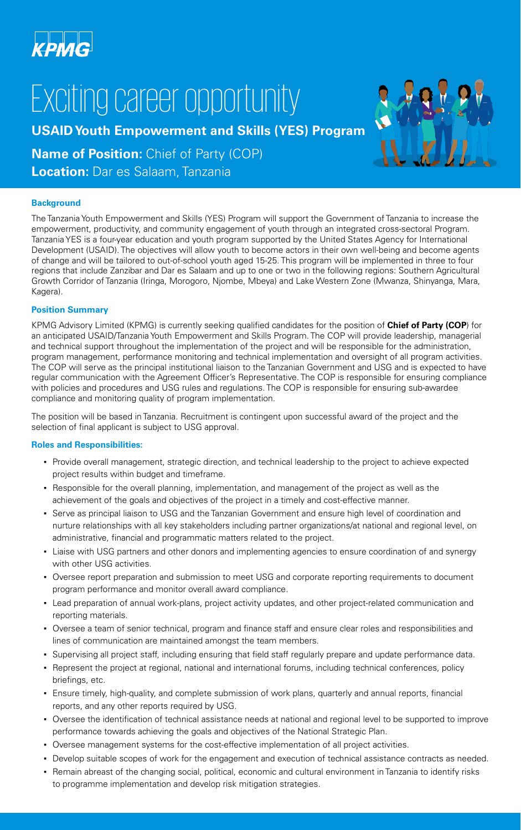

# Exciting career opportunity

**USAID Youth Empowerment and Skills (YES) Program**

**Name of Position:** Chief of Party (COP)

**Location: Dar es Salaam, Tanzania** 

### **Background**

The Tanzania Youth Empowerment and Skills (YES) Program will support the Government of Tanzania to increase the empowerment, productivity, and community engagement of youth through an integrated cross-sectoral Program. Tanzania YES is a four-year education and youth program supported by the United States Agency for International Development (USAID). The objectives will allow youth to become actors in their own well-being and become agents of change and will be tailored to out-of-school youth aged 15-25. This program will be implemented in three to four regions that include Zanzibar and Dar es Salaam and up to one or two in the following regions: Southern Agricultural Growth Corridor of Tanzania (Iringa, Morogoro, Njombe, Mbeya) and Lake Western Zone (Mwanza, Shinyanga, Mara, Kagera).

### **Position Summary**

KPMG Advisory Limited (KPMG) is currently seeking qualified candidates for the position of **Chief of Party (COP**) for an anticipated USAID/Tanzania Youth Empowerment and Skills Program. The COP will provide leadership, managerial and technical support throughout the implementation of the project and will be responsible for the administration, program management, performance monitoring and technical implementation and oversight of all program activities. The COP will serve as the principal institutional liaison to the Tanzanian Government and USG and is expected to have regular communication with the Agreement Officer's Representative. The COP is responsible for ensuring compliance with policies and procedures and USG rules and regulations. The COP is responsible for ensuring sub-awardee compliance and monitoring quality of program implementation.

The position will be based in Tanzania. Recruitment is contingent upon successful award of the project and the selection of final applicant is subject to USG approval.

## **Roles and Responsibilities:**

- Provide overall management, strategic direction, and technical leadership to the project to achieve expected project results within budget and timeframe.
- Responsible for the overall planning, implementation, and management of the project as well as the achievement of the goals and objectives of the project in a timely and cost-effective manner.
- Serve as principal liaison to USG and the Tanzanian Government and ensure high level of coordination and nurture relationships with all key stakeholders including partner organizations/at national and regional level, on administrative, financial and programmatic matters related to the project.
- Liaise with USG partners and other donors and implementing agencies to ensure coordination of and synergy with other USG activities.
- Oversee report preparation and submission to meet USG and corporate reporting requirements to document program performance and monitor overall award compliance.
- Lead preparation of annual work-plans, project activity updates, and other project-related communication and reporting materials.
- Oversee a team of senior technical, program and finance staff and ensure clear roles and responsibilities and lines of communication are maintained amongst the team members.
- Supervising all project staff, including ensuring that field staff regularly prepare and update performance data.
- Represent the project at regional, national and international forums, including technical conferences, policy briefings, etc.
- Ensure timely, high-quality, and complete submission of work plans, quarterly and annual reports, financial reports, and any other reports required by USG.
- Oversee the identification of technical assistance needs at national and regional level to be supported to improve performance towards achieving the goals and objectives of the National Strategic Plan.
- Oversee management systems for the cost-effective implementation of all project activities.
- Develop suitable scopes of work for the engagement and execution of technical assistance contracts as needed.
- Remain abreast of the changing social, political, economic and cultural environment in Tanzania to identify risks to programme implementation and develop risk mitigation strategies.